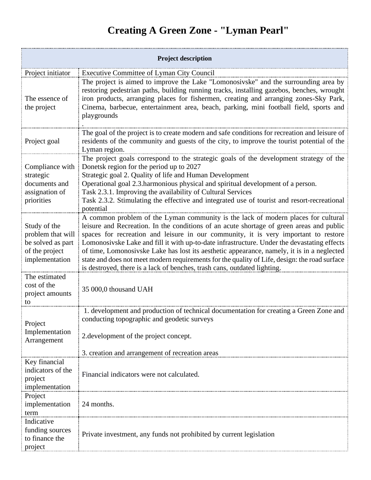## **Creating A Green Zone - "Lyman Pearl"**

| <b>Project description</b>                                                                 |                                                                                                                                                                                                                                                                                                                                                                                                                                                                                                                                                                                                                                                |  |
|--------------------------------------------------------------------------------------------|------------------------------------------------------------------------------------------------------------------------------------------------------------------------------------------------------------------------------------------------------------------------------------------------------------------------------------------------------------------------------------------------------------------------------------------------------------------------------------------------------------------------------------------------------------------------------------------------------------------------------------------------|--|
| Project initiator                                                                          | <b>Executive Committee of Lyman City Council</b>                                                                                                                                                                                                                                                                                                                                                                                                                                                                                                                                                                                               |  |
| The essence of<br>the project                                                              | The project is aimed to improve the Lake "Lomonosivske" and the surrounding area by<br>restoring pedestrian paths, building running tracks, installing gazebos, benches, wrought<br>iron products, arranging places for fishermen, creating and arranging zones-Sky Park,<br>Cinema, barbecue, entertainment area, beach, parking, mini football field, sports and<br>playgrounds                                                                                                                                                                                                                                                              |  |
| Project goal                                                                               | The goal of the project is to create modern and safe conditions for recreation and leisure of<br>residents of the community and guests of the city, to improve the tourist potential of the<br>Lyman region.                                                                                                                                                                                                                                                                                                                                                                                                                                   |  |
| Compliance with<br>strategic<br>documents and<br>assignation of<br>priorities              | The project goals correspond to the strategic goals of the development strategy of the<br>Donetsk region for the period up to 2027<br>Strategic goal 2. Quality of life and Human Development<br>Operational goal 2.3.harmonious physical and spiritual development of a person.<br>Task 2.3.1. Improving the availability of Cultural Services<br>Task 2.3.2. Stimulating the effective and integrated use of tourist and resort-recreational<br>potential                                                                                                                                                                                    |  |
| Study of the<br>problem that will<br>be solved as part<br>of the project<br>implementation | A common problem of the Lyman community is the lack of modern places for cultural<br>leisure and Recreation. In the conditions of an acute shortage of green areas and public<br>spaces for recreation and leisure in our community, it is very important to restore<br>Lomonosivske Lake and fill it with up-to-date infrastructure. Under the devastating effects<br>of time, Lomonosivske Lake has lost its aesthetic appearance, namely, it is in a neglected<br>state and does not meet modern requirements for the quality of Life, design: the road surface<br>is destroyed, there is a lack of benches, trash cans, outdated lighting. |  |
| The estimated<br>cost of the<br>project amounts<br>to                                      | 35 000,0 thousand UAH                                                                                                                                                                                                                                                                                                                                                                                                                                                                                                                                                                                                                          |  |
| Project<br>Implementation<br>Arrangement                                                   | 1. development and production of technical documentation for creating a Green Zone and<br>conducting topographic and geodetic surveys<br>2.development of the project concept.<br>3. creation and arrangement of recreation areas                                                                                                                                                                                                                                                                                                                                                                                                              |  |
| Key financial<br>indicators of the<br>project<br>implementation                            | Financial indicators were not calculated.                                                                                                                                                                                                                                                                                                                                                                                                                                                                                                                                                                                                      |  |
| Project<br>implementation<br>term                                                          | 24 months.                                                                                                                                                                                                                                                                                                                                                                                                                                                                                                                                                                                                                                     |  |
| Indicative<br>funding sources<br>to finance the<br>project                                 | Private investment, any funds not prohibited by current legislation                                                                                                                                                                                                                                                                                                                                                                                                                                                                                                                                                                            |  |